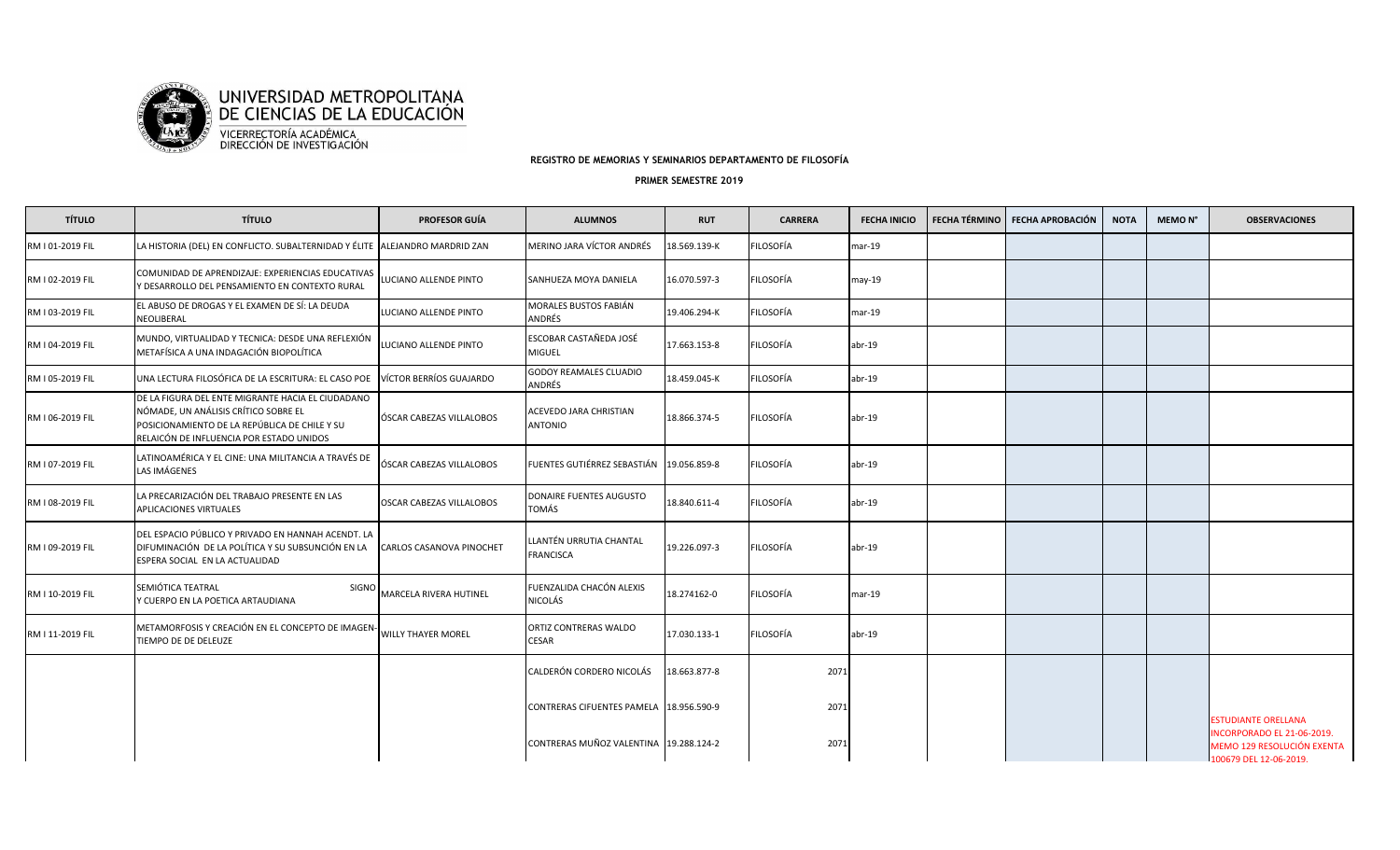

**REGISTRO DE MEMORIAS Y SEMINARIOS DEPARTAMENTO DE FILOSOFÍA**

## **PRIMER SEMESTRE 2019**

| <b>TÍTULO</b>    | <b>TÍTULO</b>                                                                                                                                                                          | <b>PROFESOR GUÍA</b>      | <b>ALUMNOS</b>                              | <b>RUT</b>   | <b>CARRERA</b>   | <b>FECHA INICIO</b> | FECHA TÉRMINO | FECHA APROBACIÓN | <b>NOTA</b> | MEMO <sub>N°</sub> | <b>OBSERVACIONES</b>                                                              |
|------------------|----------------------------------------------------------------------------------------------------------------------------------------------------------------------------------------|---------------------------|---------------------------------------------|--------------|------------------|---------------------|---------------|------------------|-------------|--------------------|-----------------------------------------------------------------------------------|
| RM I 01-2019 FIL | LA HISTORIA (DEL) EN CONFLICTO. SUBALTERNIDAD Y ÉLITE ALEJANDRO MARDRID ZAN                                                                                                            |                           | MERINO JARA VÍCTOR ANDRÉS                   | 18.569.139-K | FILOSOFÍA        | $mar-19$            |               |                  |             |                    |                                                                                   |
| RM I 02-2019 FIL | COMUNIDAD DE APRENDIZAJE: EXPERIENCIAS EDUCATIVAS<br>Y DESARROLLO DEL PENSAMIENTO EN CONTEXTO RURAL                                                                                    | LUCIANO ALLENDE PINTO     | SANHUEZA MOYA DANIELA                       | 16.070.597-3 | FILOSOFÍA        | $may-19$            |               |                  |             |                    |                                                                                   |
| RM I 03-2019 FIL | EL ABUSO DE DROGAS Y EL EXAMEN DE SÍ: LA DEUDA<br>NEOLIBERAL                                                                                                                           | LUCIANO ALLENDE PINTO     | MORALES BUSTOS FABIÁN<br>ANDRÉS             | 19.406.294-K | FILOSOFÍA        | $mar-19$            |               |                  |             |                    |                                                                                   |
| RM I 04-2019 FIL | MUNDO, VIRTUALIDAD Y TECNICA: DESDE UNA REFLEXIÓN<br>METAFÍSICA A UNA INDAGACIÓN BIOPOLÍTICA                                                                                           | LUCIANO ALLENDE PINTO     | ESCOBAR CASTAÑEDA JOSÉ<br><b>MIGUEL</b>     | 17.663.153-8 | FILOSOFÍA        | $abr-19$            |               |                  |             |                    |                                                                                   |
| RM I 05-2019 FIL | UNA LECTURA FILOSÓFICA DE LA ESCRITURA: EL CASO POE                                                                                                                                    | VÍCTOR BERRÍOS GUAJARDO   | <b>GODOY REAMALES CLUADIO</b><br>ANDRÉS     | 18.459.045-K | FILOSOFÍA        | $abr-19$            |               |                  |             |                    |                                                                                   |
| RM I 06-2019 FIL | DE LA FIGURA DEL ENTE MIGRANTE HACIA EL CIUDADANO<br>NÓMADE, UN ANÁLISIS CRÍTICO SOBRE EL<br>POSICIONAMIENTO DE LA REPÚBLICA DE CHILE Y SU<br>RELAICÓN DE INFLUENCIA POR ESTADO UNIDOS | ÓSCAR CABEZAS VILLALOBOS  | ACEVEDO JARA CHRISTIAN<br><b>ANTONIO</b>    | 18.866.374-5 | FILOSOFÍA        | $abr-19$            |               |                  |             |                    |                                                                                   |
| RM I 07-2019 FIL | LATINOAMÉRICA Y EL CINE: UNA MILITANCIA A TRAVÉS DE<br>LAS IMÁGENES                                                                                                                    | ÓSCAR CABEZAS VILLALOBOS  | FUENTES GUTIÉRREZ SEBASTIÁN 19.056.859-8    |              | <b>FILOSOFÍA</b> | $abr-19$            |               |                  |             |                    |                                                                                   |
| RM I 08-2019 FIL | LA PRECARIZACIÓN DEL TRABAJO PRESENTE EN LAS<br>APLICACIONES VIRTUALES                                                                                                                 | OSCAR CABEZAS VILLALOBOS  | DONAIRE FUENTES AUGUSTO<br>TOMÁS            | 18.840.611-4 | FILOSOFÍA        | $abr-19$            |               |                  |             |                    |                                                                                   |
| RM I 09-2019 FIL | DEL ESPACIO PÚBLICO Y PRIVADO EN HANNAH ACENDT. LA<br>DIFUMINACIÓN DE LA POLÍTICA Y SU SUBSUNCIÓN EN LA<br>ESPERA SOCIAL EN LA ACTUALIDAD                                              | CARLOS CASANOVA PINOCHET  | LLANTÉN URRUTIA CHANTAL<br><b>FRANCISCA</b> | 19.226.097-3 | FILOSOFÍA        | $abr-19$            |               |                  |             |                    |                                                                                   |
| RM I 10-2019 FIL | SEMIÓTICA TEATRAL<br><b>SIGNO</b><br>Y CUERPO EN LA POETICA ARTAUDIANA                                                                                                                 | MARCELA RIVERA HUTINEL    | FUENZALIDA CHACÓN ALEXIS<br>NICOLÁS         | 18.274162-0  | FILOSOFÍA        | $mar-19$            |               |                  |             |                    |                                                                                   |
| RM I 11-2019 FIL | METAMORFOSIS Y CREACIÓN EN EL CONCEPTO DE IMAGEN-<br>TIEMPO DE DE DELEUZE                                                                                                              | <b>WILLY THAYER MOREL</b> | ORTIZ CONTRERAS WALDO<br><b>CESAR</b>       | 17.030.133-1 | FILOSOFÍA        | $abr-19$            |               |                  |             |                    |                                                                                   |
|                  |                                                                                                                                                                                        |                           | CALDERÓN CORDERO NICOLÁS                    | 18.663.877-8 | 2071             |                     |               |                  |             |                    |                                                                                   |
|                  |                                                                                                                                                                                        |                           | CONTRERAS CIFUENTES PAMELA 18.956.590-9     |              | 2071             |                     |               |                  |             |                    | <b>ESTUDIANTE ORELLANA</b>                                                        |
|                  |                                                                                                                                                                                        |                           | CONTRERAS MUÑOZ VALENTINA 19.288.124-2      |              | 2071             |                     |               |                  |             |                    | NCORPORADO EL 21-06-2019.<br>MEMO 129 RESOLUCIÓN EXENTA<br>100679 DEL 12-06-2019. |